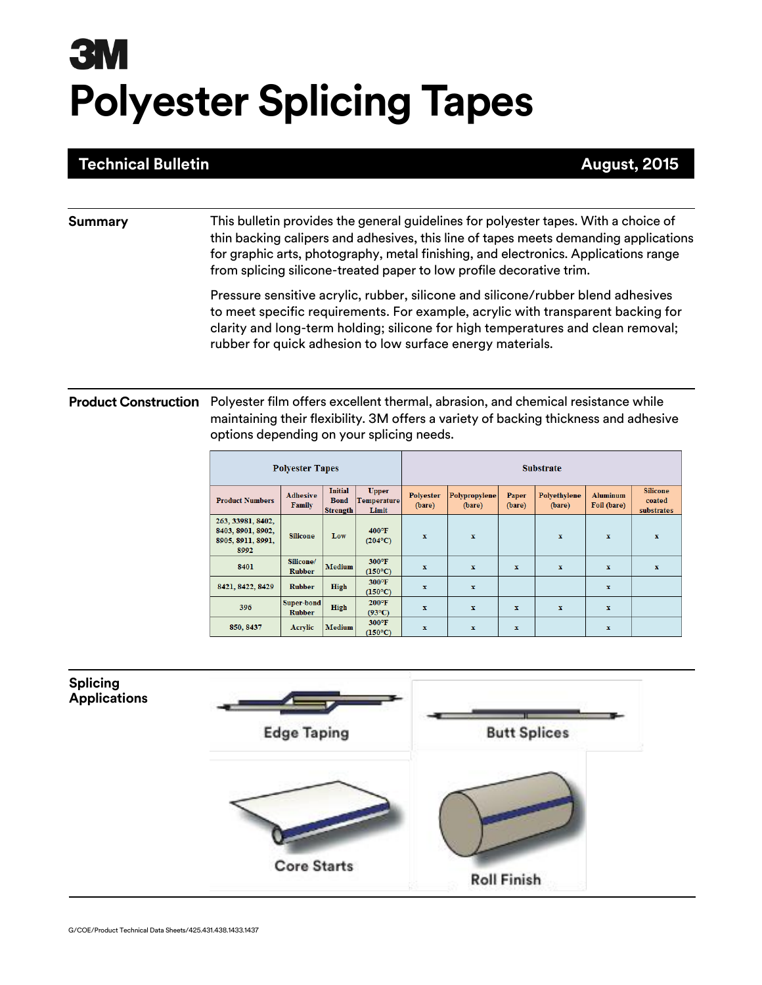# **3M Polyester Splicing Tapes**

## **Technical Bulletin**

### **Summary** This bulletin provides the general guidelines for polyester tapes. With a choice of thin backing calipers and adhesives, this line of tapes meets demanding applications for graphic arts, photography, metal finishing, and electronics. Applications range from splicing silicone-treated paper to low profile decorative trim.

Pressure sensitive acrylic, rubber, silicone and silicone/rubber blend adhesives to meet specific requirements. For example, acrylic with transparent backing for clarity and long-term holding; silicone for high temperatures and clean removal; rubber for quick adhesion to low surface energy materials.

### **Product Construction** Polyester film offers excellent thermal, abrasion, and chemical resistance while maintaining their flexibility. 3M offers a variety of backing thickness and adhesive options depending on your splicing needs.

| <b>Polyester Tapes</b>                                              |                             |                                                  |                                             | <b>Substrate</b>           |                         |                 |                        |                                |                                         |
|---------------------------------------------------------------------|-----------------------------|--------------------------------------------------|---------------------------------------------|----------------------------|-------------------------|-----------------|------------------------|--------------------------------|-----------------------------------------|
| <b>Product Numbers</b>                                              | Adhesive<br>Family          | <b>Initial</b><br><b>Bond</b><br><b>Strength</b> | <b>Upper</b><br><b>Temperature</b><br>Limit | <b>Polvester</b><br>(bare) | Polypropylene<br>(bare) | Paper<br>(bare) | Polyethylene<br>(bare) | <b>Aluminum</b><br>Foil (bare) | <b>Silicone</b><br>coated<br>substrates |
| 263, 33981, 8402,<br>8403, 8901, 8902,<br>8905, 8911, 8991,<br>8992 | <b>Silicone</b>             | Low                                              | $400^{\circ}$ F<br>$(204^{\circ}C)$         | $\mathbf x$                | $\mathbf{x}$            |                 | $\mathbf{x}$           | $\mathbf x$                    | $\mathbf{x}$                            |
| 8401                                                                | Silicone/<br><b>Rubber</b>  | <b>Medium</b>                                    | $300^{\circ}$ F<br>$(150^{\circ}C)$         | $\mathbf x$                | $\mathbf{x}$            | $\mathbf{x}$    | $\mathbf{x}$           | $\mathbf{x}$                   | $\mathbf{x}$                            |
| 8421, 8422, 8429                                                    | <b>Rubber</b>               | High                                             | $300^\circ F$<br>$(150^{\circ}C)$           | $\mathbf{x}$               | $\mathbf{x}$            |                 |                        | $\mathbf{x}$                   |                                         |
| 396                                                                 | Super-bond<br><b>Rubber</b> | High                                             | $200^{\circ}$ F<br>$(93^{\circ}C)$          | x                          | $\mathbf{x}$            | $\mathbf x$     | $\mathbf{x}$           | $\mathbf x$                    |                                         |
| 850, 8437                                                           | Acrylic                     | <b>Medium</b>                                    | $300^\circ F$<br>$(150^{\circ}C)$           | x                          | $\mathbf x$             | x               |                        | $\mathbf x$                    |                                         |